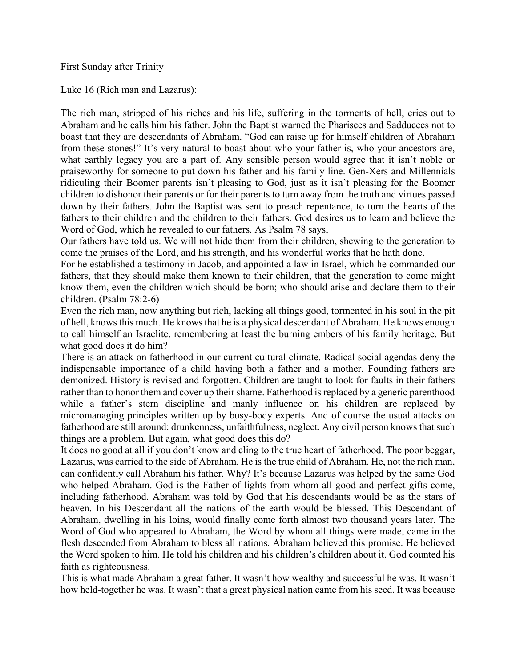First Sunday after Trinity

Luke 16 (Rich man and Lazarus):

The rich man, stripped of his riches and his life, suffering in the torments of hell, cries out to Abraham and he calls him his father. John the Baptist warned the Pharisees and Sadducees not to boast that they are descendants of Abraham. "God can raise up for himself children of Abraham from these stones!" It's very natural to boast about who your father is, who your ancestors are, what earthly legacy you are a part of. Any sensible person would agree that it isn't noble or praiseworthy for someone to put down his father and his family line. Gen-Xers and Millennials ridiculing their Boomer parents isn't pleasing to God, just as it isn't pleasing for the Boomer children to dishonor their parents or for their parents to turn away from the truth and virtues passed down by their fathers. John the Baptist was sent to preach repentance, to turn the hearts of the fathers to their children and the children to their fathers. God desires us to learn and believe the Word of God, which he revealed to our fathers. As Psalm 78 says,

Our fathers have told us. We will not hide them from their children, shewing to the generation to come the praises of the Lord, and his strength, and his wonderful works that he hath done.

For he established a testimony in Jacob, and appointed a law in Israel, which he commanded our fathers, that they should make them known to their children, that the generation to come might know them, even the children which should be born; who should arise and declare them to their children. (Psalm 78:2-6)

Even the rich man, now anything but rich, lacking all things good, tormented in his soul in the pit of hell, knows this much. He knows that he is a physical descendant of Abraham. He knows enough to call himself an Israelite, remembering at least the burning embers of his family heritage. But what good does it do him?

There is an attack on fatherhood in our current cultural climate. Radical social agendas deny the indispensable importance of a child having both a father and a mother. Founding fathers are demonized. History is revised and forgotten. Children are taught to look for faults in their fathers rather than to honor them and cover up their shame. Fatherhood is replaced by a generic parenthood while a father's stern discipline and manly influence on his children are replaced by micromanaging principles written up by busy-body experts. And of course the usual attacks on fatherhood are still around: drunkenness, unfaithfulness, neglect. Any civil person knows that such things are a problem. But again, what good does this do?

It does no good at all if you don't know and cling to the true heart of fatherhood. The poor beggar, Lazarus, was carried to the side of Abraham. He is the true child of Abraham. He, not the rich man, can confidently call Abraham his father. Why? It's because Lazarus was helped by the same God who helped Abraham. God is the Father of lights from whom all good and perfect gifts come, including fatherhood. Abraham was told by God that his descendants would be as the stars of heaven. In his Descendant all the nations of the earth would be blessed. This Descendant of Abraham, dwelling in his loins, would finally come forth almost two thousand years later. The Word of God who appeared to Abraham, the Word by whom all things were made, came in the flesh descended from Abraham to bless all nations. Abraham believed this promise. He believed the Word spoken to him. He told his children and his children's children about it. God counted his faith as righteousness.

This is what made Abraham a great father. It wasn't how wealthy and successful he was. It wasn't how held-together he was. It wasn't that a great physical nation came from his seed. It was because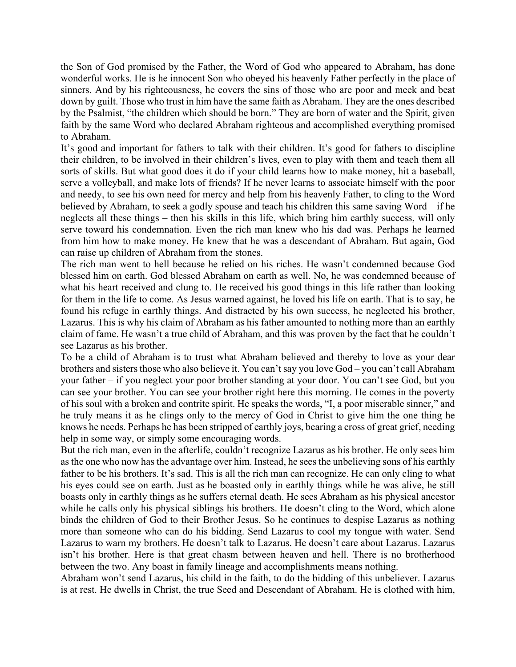the Son of God promised by the Father, the Word of God who appeared to Abraham, has done wonderful works. He is he innocent Son who obeyed his heavenly Father perfectly in the place of sinners. And by his righteousness, he covers the sins of those who are poor and meek and beat down by guilt. Those who trust in him have the same faith as Abraham. They are the ones described by the Psalmist, "the children which should be born." They are born of water and the Spirit, given faith by the same Word who declared Abraham righteous and accomplished everything promised to Abraham.

It's good and important for fathers to talk with their children. It's good for fathers to discipline their children, to be involved in their children's lives, even to play with them and teach them all sorts of skills. But what good does it do if your child learns how to make money, hit a baseball, serve a volleyball, and make lots of friends? If he never learns to associate himself with the poor and needy, to see his own need for mercy and help from his heavenly Father, to cling to the Word believed by Abraham, to seek a godly spouse and teach his children this same saving Word – if he neglects all these things – then his skills in this life, which bring him earthly success, will only serve toward his condemnation. Even the rich man knew who his dad was. Perhaps he learned from him how to make money. He knew that he was a descendant of Abraham. But again, God can raise up children of Abraham from the stones.

The rich man went to hell because he relied on his riches. He wasn't condemned because God blessed him on earth. God blessed Abraham on earth as well. No, he was condemned because of what his heart received and clung to. He received his good things in this life rather than looking for them in the life to come. As Jesus warned against, he loved his life on earth. That is to say, he found his refuge in earthly things. And distracted by his own success, he neglected his brother, Lazarus. This is why his claim of Abraham as his father amounted to nothing more than an earthly claim of fame. He wasn't a true child of Abraham, and this was proven by the fact that he couldn't see Lazarus as his brother.

To be a child of Abraham is to trust what Abraham believed and thereby to love as your dear brothers and sisters those who also believe it. You can't say you love God – you can't call Abraham your father – if you neglect your poor brother standing at your door. You can't see God, but you can see your brother. You can see your brother right here this morning. He comes in the poverty of his soul with a broken and contrite spirit. He speaks the words, "I, a poor miserable sinner," and he truly means it as he clings only to the mercy of God in Christ to give him the one thing he knows he needs. Perhaps he has been stripped of earthly joys, bearing a cross of great grief, needing help in some way, or simply some encouraging words.

But the rich man, even in the afterlife, couldn't recognize Lazarus as his brother. He only sees him as the one who now has the advantage over him. Instead, he sees the unbelieving sons of his earthly father to be his brothers. It's sad. This is all the rich man can recognize. He can only cling to what his eyes could see on earth. Just as he boasted only in earthly things while he was alive, he still boasts only in earthly things as he suffers eternal death. He sees Abraham as his physical ancestor while he calls only his physical siblings his brothers. He doesn't cling to the Word, which alone binds the children of God to their Brother Jesus. So he continues to despise Lazarus as nothing more than someone who can do his bidding. Send Lazarus to cool my tongue with water. Send Lazarus to warn my brothers. He doesn't talk to Lazarus. He doesn't care about Lazarus. Lazarus isn't his brother. Here is that great chasm between heaven and hell. There is no brotherhood between the two. Any boast in family lineage and accomplishments means nothing.

Abraham won't send Lazarus, his child in the faith, to do the bidding of this unbeliever. Lazarus is at rest. He dwells in Christ, the true Seed and Descendant of Abraham. He is clothed with him,